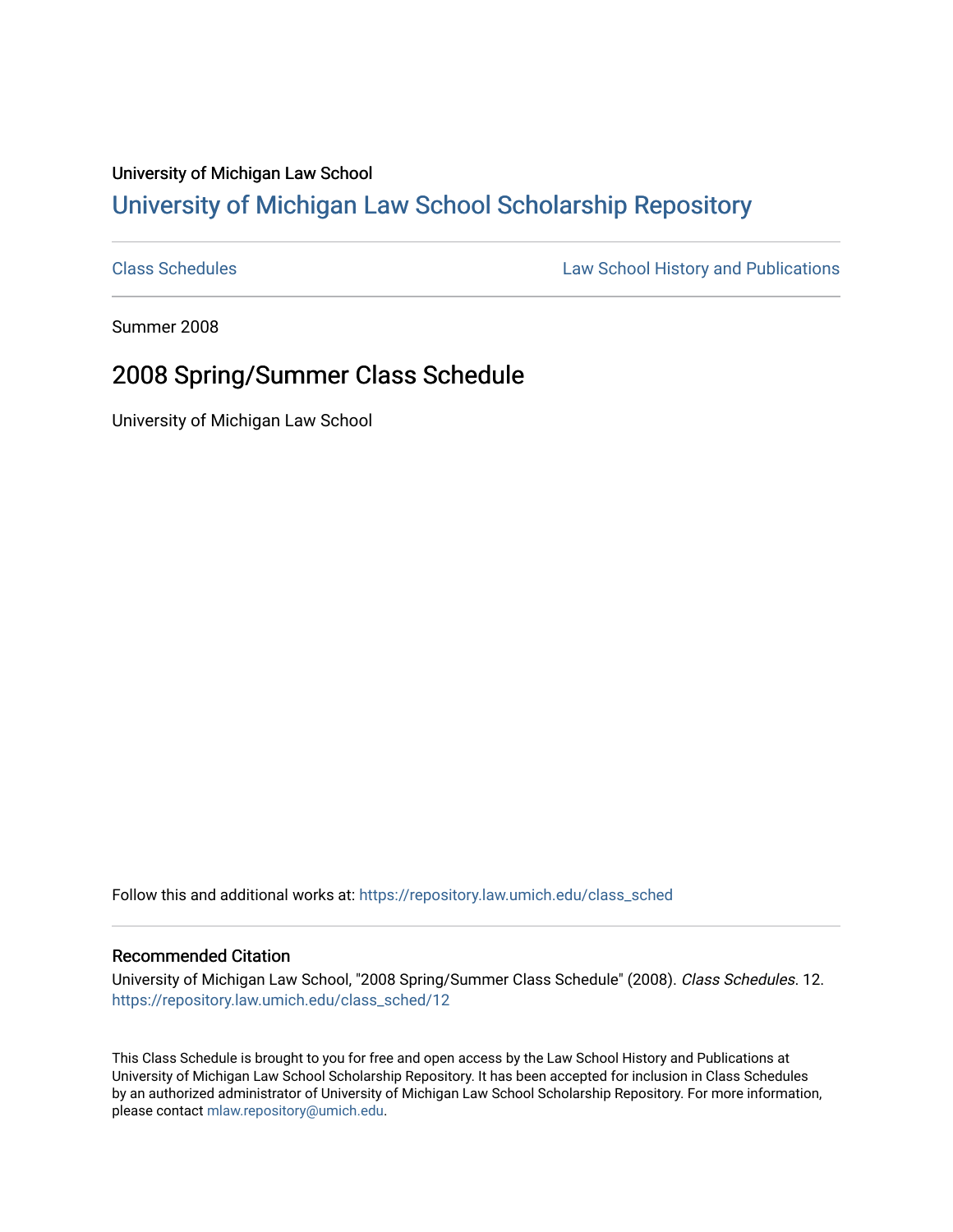## University of Michigan Law School [University of Michigan Law School Scholarship Repository](https://repository.law.umich.edu/)

[Class Schedules](https://repository.law.umich.edu/class_sched) **Law School History and Publications** 

Summer 2008

## 2008 Spring/Summer Class Schedule

University of Michigan Law School

Follow this and additional works at: [https://repository.law.umich.edu/class\\_sched](https://repository.law.umich.edu/class_sched?utm_source=repository.law.umich.edu%2Fclass_sched%2F12&utm_medium=PDF&utm_campaign=PDFCoverPages) 

## Recommended Citation

University of Michigan Law School, "2008 Spring/Summer Class Schedule" (2008). Class Schedules. 12. [https://repository.law.umich.edu/class\\_sched/12](https://repository.law.umich.edu/class_sched/12?utm_source=repository.law.umich.edu%2Fclass_sched%2F12&utm_medium=PDF&utm_campaign=PDFCoverPages)

This Class Schedule is brought to you for free and open access by the Law School History and Publications at University of Michigan Law School Scholarship Repository. It has been accepted for inclusion in Class Schedules by an authorized administrator of University of Michigan Law School Scholarship Repository. For more information, please contact [mlaw.repository@umich.edu.](mailto:mlaw.repository@umich.edu)